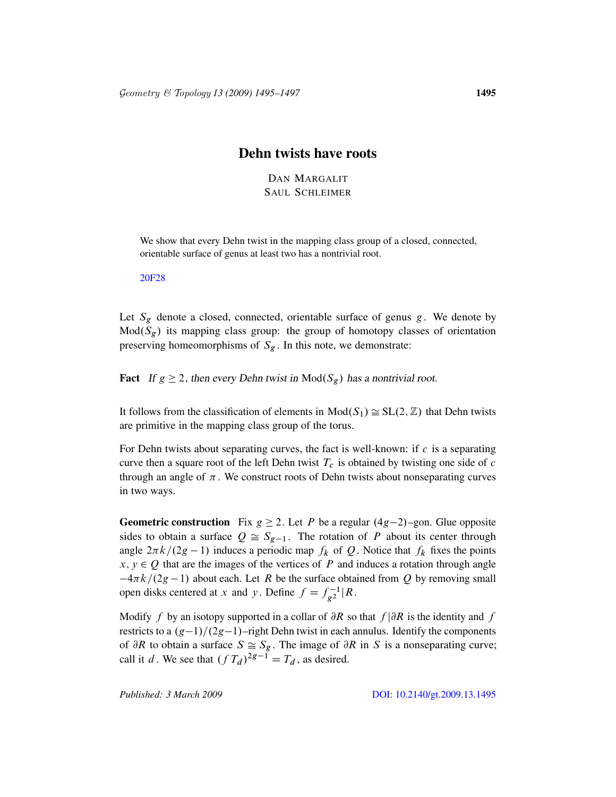## Dehn twists have roots

DAN MARGALIT SAUL SCHLEIMER

We show that every Dehn twist in the mapping class group of a closed, connected, orientable surface of genus at least two has a nontrivial root.

20F28

Let  $S_g$  denote a closed, connected, orientable surface of genus g. We denote by  $Mod(S_g)$  its mapping class group: the group of homotopy classes of orientation preserving homeomorphisms of  $S_g$ . In this note, we demonstrate:

**Fact** If  $g \ge 2$ , then every Dehn twist in  $Mod(S_g)$  has a nontrivial root.

It follows from the classification of elements in  $Mod(S_1) \cong SL(2, \mathbb{Z})$  that Dehn twists are primitive in the mapping class group of the torus.

For Dehn twists about separating curves, the fact is well-known: if  $c$  is a separating curve then a square root of the left Dehn twist  $T_c$  is obtained by twisting one side of c through an angle of  $\pi$ . We construct roots of Dehn twists about nonseparating curves in two ways.

**Geometric construction** Fix  $g \ge 2$ . Let P be a regular  $(4g-2)$ –gon. Glue opposite sides to obtain a surface  $Q \cong S_{g-1}$ . The rotation of P about its center through angle  $2\pi k/(2g - 1)$  induces a periodic map  $f_k$  of Q. Notice that  $f_k$  fixes the points  $x, y \in Q$  that are the images of the vertices of P and induces a rotation through angle  $-4\pi k/(2g-1)$  about each. Let R be the surface obtained from Q by removing small open disks centered at x and y. Define  $f = f_{\alpha 2}^{-1}$  $\int_{g^2}^{g-1} |R.$ 

Modify f by an isotopy supported in a collar of  $\partial R$  so that  $f/\partial R$  is the identity and f restricts to a  $(g-1)/(2g-1)$ –rig[ht Dehn twist in each annulus.](http://dx.doi.org/10.2140/gt.2009.13.1495) Identify the components of  $\partial R$  to obtain a surface  $S \cong S_g$ . The image of  $\partial R$  in S is a nonseparating curve; call it d. We see that  $(f T_d)^{2g-1} = T_d$ , as desired.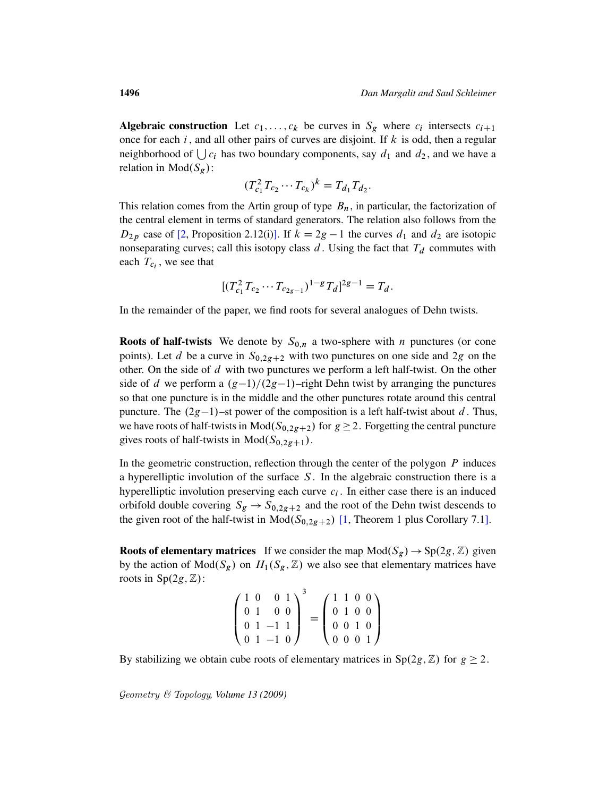Algebraic construction Let  $c_1, \ldots, c_k$  be curves in  $S_g$  where  $c_i$  intersects  $c_{i+1}$ once for each  $i$ , and all other pairs of curves are disjoint. If  $k$  is odd, then a regular neighborhood of  $\bigcup c_i$  has two boundary components, say  $d_1$  and  $d_2$ , and we have a relation in  $Mod(S_{\varphi})$ :

$$
(T_{c_1}^2 T_{c_2} \cdots T_{c_k})^k = T_{d_1} T_{d_2}.
$$

This relation comes from the Artin group of type  $B_n$ , in particular, the factorization of the central element in terms of standard generators. The relation also follows from the  $D_{2p}$  case of [2, Proposition 2.12(i)]. If  $k = 2g - 1$  the curves  $d_1$  and  $d_2$  are isotopic nonseparating curves; call this isotopy class  $d$ . Using the fact that  $T_d$  commutes with each  $T_{c_i}$ , we see that

$$
[(T_{c_1}^2 T_{c_2} \cdots T_{c_{2g-1}})^{1-g} T_d]^{2g-1} = T_d.
$$

In the remainder of the paper, we find roots for several analogues of Dehn twists.

**Roots of half-twists** We denote by  $S_{0,n}$  a two-sphere with *n* punctures (or cone points). Let d be a curve in  $S_{0,2g+2}$  with two punctures on one side and 2g on the other. On the side of  $d$  with two punctures we perform a left half-twist. On the other side of d we perform a  $(g-1)/(2g-1)$ –right Dehn twist by arranging the punctures so that one puncture is in the middle and the other punctures rotate around this central puncture. The  $(2g-1)$ –st power of the composition is a left half-twist about d. Thus, we have roots of half-twists in  $Mod(S_{0,2g+2})$  for  $g \geq 2$ . Forgetting the central puncture gives roots of half-twists in  $Mod(S_{0,2g+1})$ .

In the geometric construc[tio](#page-2-0)n, reflection through the center of the polygon  $P$  induces a hyperelliptic involution of the surface  $S$ . In the algebraic construction there is a hyperelliptic involution preserving each curve  $c_i$ . In either case there is an induced orbifold double covering  $S_g \rightarrow S_{0,2g+2}$  and the root of the Dehn twist descends to the given root of the half-twist in  $Mod(S_{0,2g+2})$  [1, Theorem 1 plus Corollary 7.1].

**Roots of elementary matrices** If we consider the map  $Mod(S_g) \rightarrow Sp(2g, \mathbb{Z})$  given by the action of  $Mod(S_g)$  on  $H_1(S_g, \mathbb{Z})$  we also see that elementary matrices have roots in  $Sp(2g, \mathbb{Z})$ :

| $\sqrt{1}0$ |                                                | 01 |  |  | (1100)                                                                              |
|-------------|------------------------------------------------|----|--|--|-------------------------------------------------------------------------------------|
|             | $\begin{bmatrix} 0 & 1 & 0 & 0 \end{bmatrix}$  |    |  |  | $\begin{array}{ c c c c c } \hline 0&1&0&0 \\ \hline 0&0&1&0 \\ \hline \end{array}$ |
|             | $\begin{bmatrix} 0 & 1 & -1 & 1 \end{bmatrix}$ |    |  |  |                                                                                     |
|             | $(01 - 10)$                                    |    |  |  | $\langle 0001 \rangle$                                                              |

By stabilizing we obtain cube roots of elementary matrices in  $Sp(2g, \mathbb{Z})$  for  $g \geq 2$ .

Geometry & Topology*, Volume 13 (2009)*